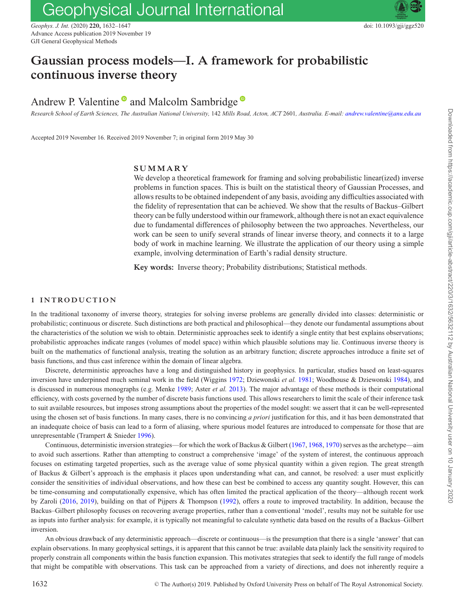# Geophysical Journal International

*Geophys. J. Int.* (2020) **220,** 1632–1647 doi: 10.1093/gji/ggz520 Advance Access publication 2019 November 19 GJI General Geophysical Methods

# **Gaussian process models—I. A framework for probabilistic continuous inverse theory**

# Andrew P. Valentine  $\bullet$  and Malcolm Sambridge  $\bullet$

*Research School of Earth Sciences, The Australian National University,* 142 *Mills Road, Acton, ACT* 2601*, Australia. E-mail: [andrew.valentine@anu.edu.au](mailto:andrew.valentine@anu.edu.au)*

Accepted 2019 November 16. Received 2019 November 7; in original form 2019 May 30

# **SUMMARY**

We develop a theoretical framework for framing and solving probabilistic linear(ized) inverse problems in function spaces. This is built on the statistical theory of Gaussian Processes, and allows results to be obtained independent of any basis, avoiding any difficulties associated with the fidelity of representation that can be achieved. We show that the results of Backus–Gilbert theory can be fully understood within our framework, although there is not an exact equivalence due to fundamental differences of philosophy between the two approaches. Nevertheless, our work can be seen to unify several strands of linear inverse theory, and connects it to a large body of work in machine learning. We illustrate the application of our theory using a simple example, involving determination of Earth's radial density structure.

**Key words:** Inverse theory; Probability distributions; Statistical methods.

# **1 INTRODUCTION**

In the traditional taxonomy of inverse theory, strategies for solving inverse problems are generally divided into classes: deterministic or probabilistic; continuous or discrete. Such distinctions are both practical and philosophical—they denote our fundamental assumptions about the characteristics of the solution we wish to obtain. Deterministic approaches seek to identify a single entity that best explains observations; probabilistic approaches indicate ranges (volumes of model space) within which plausible solutions may lie. Continuous inverse theory is built on the mathematics of functional analysis, treating the solution as an arbitrary function; discrete approaches introduce a finite set of basis functions, and thus cast inference within the domain of linear algebra.

Discrete, deterministic approaches have a long and distinguished history in geophysics. In particular, studies based on least-squares inversion have underpinned much seminal work in the field (Wiggins [1972;](#page-14-0) Dziewonski *et al.* [1981;](#page-14-1) Woodhouse & Dziewonski [1984\)](#page-15-0), and is discussed in numerous monographs (e.g. Menke [1989;](#page-14-2) Aster *et al.* [2013\)](#page-14-3). The major advantage of these methods is their computational efficiency, with costs governed by the number of discrete basis functions used. This allows researchers to limit the scale of their inference task to suit available resources, but imposes strong assumptions about the properties of the model sought: we assert that it can be well-represented using the chosen set of basis functions. In many cases, there is no convincing *a priori* justification for this, and it has been demonstrated that an inadequate choice of basis can lead to a form of aliasing, where spurious model features are introduced to compensate for those that are unrepresentable (Trampert & Snieder [1996\)](#page-14-4).

Continuous, deterministic inversion strategies—for which the work of Backus & Gilbert [\(1967,](#page-14-5) [1968,](#page-14-6) [1970\)](#page-14-7) serves as the archetype—aim to avoid such assertions. Rather than attempting to construct a comprehensive 'image' of the system of interest, the continuous approach focuses on estimating targeted properties, such as the average value of some physical quantity within a given region. The great strength of Backus & Gilbert's approach is the emphasis it places upon understanding what can, and cannot, be resolved: a user must explicitly consider the sensitivities of individual observations, and how these can best be combined to access any quantity sought. However, this can be time-consuming and computationally expensive, which has often limited the practical application of the theory—although recent work by Zaroli [\(2016,](#page-15-1) [2019\)](#page-15-2), building on that of Pijpers & Thompson [\(1992\)](#page-14-8), offers a route to improved tractability. In addition, because the Backus–Gilbert philosophy focuses on recovering average properties, rather than a conventional 'model', results may not be suitable for use as inputs into further analysis: for example, it is typically not meaningful to calculate synthetic data based on the results of a Backus–Gilbert inversion.

An obvious drawback of any deterministic approach—discrete or continuous—is the presumption that there is a single 'answer' that can explain observations. In many geophysical settings, it is apparent that this cannot be true: available data plainly lack the sensitivity required to properly constrain all components within the basis function expansion. This motivates strategies that seek to identify the full range of models that might be compatible with observations. This task can be approached from a variety of directions, and does not inherently require a

Downloaded from https://academic.oup.com/gji/article-abstract/220/3/1632/5632112 by Australian National University user on 10 January 2020

Downloaded from https://academic.oup.com/gji/article-abstract/220/3/1632/5632112 by Australian National University user on 10 January 2020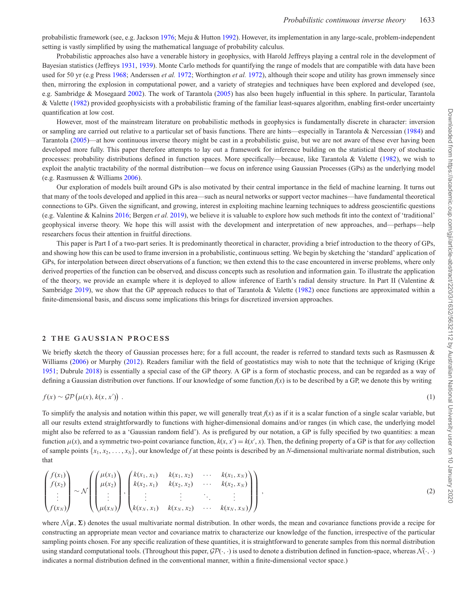probabilistic framework (see, e.g. Jackson [1976;](#page-14-9) Meju & Hutton [1992\)](#page-14-10). However, its implementation in any large-scale, problem-independent setting is vastly simplified by using the mathematical language of probability calculus.

Probabilistic approaches also have a venerable history in geophysics, with Harold Jeffreys playing a central role in the development of Bayesian statistics (Jeffreys [1931,](#page-14-11) [1939\)](#page-14-12). Monte Carlo methods for quantifying the range of models that are compatible with data have been used for 50 yr (e.g Press [1968;](#page-14-13) Anderssen *et al.* [1972;](#page-14-14) Worthington *et al.* [1972\)](#page-15-3), although their scope and utility has grown immensely since then, mirroring the explosion in computational power, and a variety of strategies and techniques have been explored and developed (see, e.g. Sambridge & Mosegaard [2002\)](#page-14-15). The work of Tarantola [\(2005\)](#page-14-16) has also been hugely influential in this sphere. In particular, Tarantola & Valette [\(1982\)](#page-14-17) provided geophysicists with a probabilistic framing of the familiar least-squares algorithm, enabling first-order uncertainty quantification at low cost.

However, most of the mainstream literature on probabilistic methods in geophysics is fundamentally discrete in character: inversion or sampling are carried out relative to a particular set of basis functions. There are hints—especially in Tarantola & Nercessian [\(1984\)](#page-14-18) and Tarantola [\(2005\)](#page-14-16)—at how continuous inverse theory might be cast in a probabilistic guise, but we are not aware of these ever having been developed more fully. This paper therefore attempts to lay out a framework for inference building on the statistical theory of stochastic processes: probability distributions defined in function spaces. More specifically—because, like Tarantola & Valette [\(1982\)](#page-14-17), we wish to exploit the analytic tractability of the normal distribution—we focus on inference using Gaussian Processes (GPs) as the underlying model (e.g. Rasmussen & Williams [2006\)](#page-14-19).

Our exploration of models built around GPs is also motivated by their central importance in the field of machine learning. It turns out that many of the tools developed and applied in this area—such as neural networks or support vector machines—have fundamental theoretical connections to GPs. Given the significant, and growing, interest in exploiting machine learning techniques to address geoscientific questions (e.g. Valentine & Kalnins [2016;](#page-14-20) Bergen *et al.* [2019\)](#page-14-21), we believe it is valuable to explore how such methods fit into the context of 'traditional' geophysical inverse theory. We hope this will assist with the development and interpretation of new approaches, and—perhaps—help researchers focus their attention in fruitful directions.

This paper is Part I of a two-part series. It is predominantly theoretical in character, providing a brief introduction to the theory of GPs, and showing how this can be used to frame inversion in a probabilistic, continuous setting. We begin by sketching the 'standard' application of GPs, for interpolation between direct observations of a function; we then extend this to the case encountered in inverse problems, where only derived properties of the function can be observed, and discuss concepts such as resolution and information gain. To illustrate the application of the theory, we provide an example where it is deployed to allow inference of Earth's radial density structure. In Part II (Valentine & Sambridge [2019\)](#page-14-22), we show that the GP approach reduces to that of Tarantola & Valette [\(1982\)](#page-14-17) once functions are approximated within a finite-dimensional basis, and discuss some implications this brings for discretized inversion approaches.

#### **2 THE GAUSSIAN PROCESS**

We briefly sketch the theory of Gaussian processes here; for a full account, the reader is referred to standard texts such as Rasmussen & Williams [\(2006\)](#page-14-19) or Murphy [\(2012\)](#page-14-23). Readers familiar with the field of geostatistics may wish to note that the technique of kriging (Krige [1951;](#page-14-24) Dubrule [2018\)](#page-14-25) is essentially a special case of the GP theory. A GP is a form of stochastic process, and can be regarded as a way of defining a Gaussian distribution over functions. If our knowledge of some function *f*(*x*) is to be described by a GP, we denote this by writing

$$
f(x) \sim \mathcal{GP}(\mu(x), k(x, x')) \tag{1}
$$

To simplify the analysis and notation within this paper, we will generally treat  $f(x)$  as if it is a scalar function of a single scalar variable, but all our results extend straightforwardly to functions with higher-dimensional domains and/or ranges (in which case, the underlying model might also be referred to as a 'Gaussian random field'). As is prefigured by our notation, a GP is fully specified by two quantities: a mean function  $\mu(x)$ , and a symmetric two-point covariance function,  $k(x, x') = k(x', x)$ . Then, the defining property of a GP is that for *any* collection of sample points  $\{x_1, x_2, \ldots, x_N\}$ , our knowledge of *f* at these points is described by an *N*-dimensional multivariate normal distribution, such that

$$
\begin{pmatrix} f(x_1) \\ f(x_2) \\ \vdots \\ f(x_N) \end{pmatrix} \sim \mathcal{N} \left( \begin{pmatrix} \mu(x_1) \\ \mu(x_2) \\ \vdots \\ \mu(x_N) \end{pmatrix}, \begin{pmatrix} k(x_1, x_1) & k(x_1, x_2) & \cdots & k(x_1, x_N) \\ k(x_2, x_1) & k(x_2, x_2) & \cdots & k(x_2, x_N) \\ \vdots & \vdots & \ddots & \vdots \\ k(x_N, x_1) & k(x_N, x_2) & \cdots & k(x_N, x_N) \end{pmatrix} \right),
$$
\n(2)

where  $\mathcal{N}(\mu, \Sigma)$  denotes the usual multivariate normal distribution. In other words, the mean and covariance functions provide a recipe for constructing an appropriate mean vector and covariance matrix to characterize our knowledge of the function, irrespective of the particular sampling points chosen. For any specific realization of these quantities, it is straightforward to generate samples from this normal distribution using standard computational tools. (Throughout this paper,  $\mathcal{GP}(\cdot, \cdot)$  is used to denote a distribution defined in function-space, whereas  $\mathcal{N}(\cdot, \cdot)$ indicates a normal distribution defined in the conventional manner, within a finite-dimensional vector space.)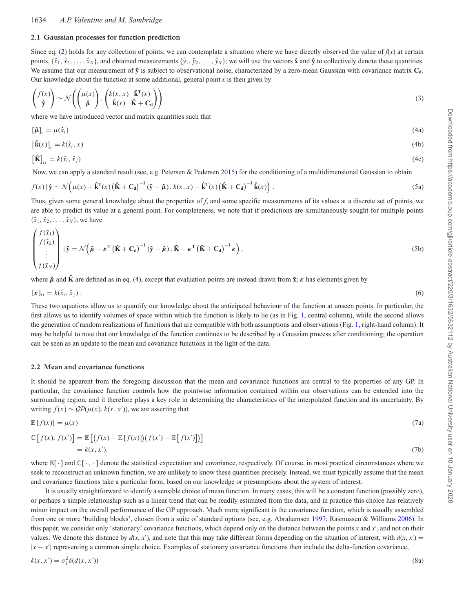# 1634 *A.P. Valentine and M. Sambridge*

# **2.1 Gaussian processes for function prediction**

Since eq. (2) holds for any collection of points, we can contemplate a situation where we have directly observed the value of  $f(x)$  at certain points,  $\{\hat{x}_1, \hat{x}_2, \dots, \hat{x}_N\}$ , and obtained measurements  $\{\hat{y}_1, \hat{y}_2, \dots, \hat{y}_N\}$ ; we will use the vectors  $\hat{x}$  and  $\hat{y}$  to collectively denote these quantities. We assume that our measurement of  $\hat{y}$  is subject to observational noise, characterized by a zero-mean Gaussian with covariance matrix  $C_d$ . Our knowledge about the function at some additional, general point  $x$  is then given by

$$
\begin{pmatrix} f(x) \\ \hat{\mathbf{y}} \end{pmatrix} \sim \mathcal{N} \left( \begin{pmatrix} \mu(x) \\ \hat{\boldsymbol{\mu}} \end{pmatrix}, \begin{pmatrix} k(x, x) & \hat{\mathbf{k}}^{\mathrm{T}}(x) \\ \hat{\mathbf{k}}(x) & \hat{\mathbf{K}} + \mathbf{C_d} \end{pmatrix} \right)
$$
(3)

where we have introduced vector and matrix quantities such that

$$
[\hat{\boldsymbol{\mu}}]_i = \mu(\hat{x}_i) \tag{4a}
$$

$$
\left[\hat{\mathbf{k}}(x)\right]_i = k(\hat{x}_i, x) \tag{4b}
$$

$$
\left[\hat{\mathbf{K}}\right]_{ij} = k(\hat{x}_i, \hat{x}_j) \tag{4c}
$$

Now, we can apply a standard result (see, e.g. Petersen & Pedersen [2015\)](#page-14-26) for the conditioning of a multidimensional Gaussian to obtain

$$
f(x) \left| \hat{\mathbf{y}} \sim \mathcal{N}\left(\mu(x) + \hat{\mathbf{k}}^{\mathrm{T}}(x) \left(\hat{\mathbf{K}} + \mathbf{C}_{\mathbf{d}}\right)^{-1} \left(\hat{\mathbf{y}} - \hat{\boldsymbol{\mu}}\right), k(x, x) - \hat{\mathbf{k}}^{\mathrm{T}}(x) \left(\hat{\mathbf{K}} + \mathbf{C}_{\mathbf{d}}\right)^{-1} \hat{\mathbf{k}}(x)\right).
$$
\n(5a)

Thus, given some general knowledge about the properties of *f*, and some specific measurements of its values at a discrete set of points, we are able to predict its value at a general point. For completeness, we note that if predictions are simultaneously sought for multiple points  ${\{\tilde{x}_1, \tilde{x}_2, \ldots, \tilde{x}_N\}}$ , we have

$$
\begin{pmatrix} f(\tilde{x}_1) \\ f(\tilde{x}_2) \\ \vdots \\ f(\tilde{x}_N) \end{pmatrix} | \hat{\mathbf{y}} = \mathcal{N} \left( \tilde{\boldsymbol{\mu}} + \boldsymbol{\kappa}^{\mathrm{T}} \left( \hat{\mathbf{K}} + \mathbf{C}_d \right)^{-1} (\hat{\mathbf{y}} - \hat{\boldsymbol{\mu}}), \tilde{\mathbf{K}} - \boldsymbol{\kappa}^{\mathrm{T}} \left( \hat{\mathbf{K}} + \mathbf{C}_d \right)^{-1} \boldsymbol{\kappa} \right), \tag{5b}
$$

where  $\tilde{\mu}$  and **K** are defined as in eq. (4), except that evaluation points are instead drawn from **x**; κ has elements given by

$$
[\kappa]_{ij} = k(\hat{x}_i, \tilde{x}_j). \tag{6}
$$

These two equations allow us to quantify our knowledge about the anticipated behaviour of the function at unseen points. In particular, the first allows us to identify volumes of space within which the function is likely to lie (as in Fig. [1,](#page-3-0) central column), while the second allows the generation of random realizations of functions that are compatible with both assumptions and observations (Fig. [1,](#page-3-0) right-hand column). It may be helpful to note that our knowledge of the function continues to be described by a Gaussian process after conditioning; the operation can be seen as an update to the mean and covariance functions in the light of the data.

# **2.2 Mean and covariance functions**

It should be apparent from the foregoing discussion that the mean and covariance functions are central to the properties of any GP. In particular, the covariance function controls how the pointwise information contained within our observations can be extended into the surrounding region, and it therefore plays a key role in determining the characteristics of the interpolated function and its uncertainty. By writing  $f(x) \sim \mathcal{GP}(\mu(x), k(x, x'))$ , we are asserting that

$$
\mathbb{E}\left[f(x)\right] = \mu(x) \tag{7a}
$$

$$
\mathbb{C}\left[f(x), f(x')\right] = \mathbb{E}\left[\left(f(x) - \mathbb{E}\left[f(x)\right]\right)\left(f(x') - \mathbb{E}\left[f(x')\right]\right)\right]
$$
\n
$$
= k(x, x'),\tag{7b}
$$

where  $\mathbb{E}[\cdot]$  and  $\mathbb{C}[\cdot]$ ,  $\cdot$  ] denote the statistical expectation and covariance, respectively. Of course, in most practical circumstances where we seek to reconstruct an unknown function, we are unlikely to know these quantities precisely. Instead, we must typically assume that the mean and covariance functions take a particular form, based on our knowledge or presumptions about the system of interest.

It is usually straightforward to identify a sensible choice of mean function. In many cases, this will be a constant function (possibly zero), or perhaps a simple relationship such as a linear trend that can be readily estimated from the data, and in practice this choice has relatively minor impact on the overall performance of the GP approach. Much more significant is the covariance function, which is usually assembled from one or more 'building blocks', chosen from a suite of standard options (see, e.g. Abrahamsen [1997;](#page-14-27) Rasmussen & Williams [2006\)](#page-14-19). In this paper, we consider only 'stationary' covariance functions, which depend only on the distance between the points *x* and *x*′ , and not on their values. We denote this distance by  $d(x, x')$ , and note that this may take different forms depending on the situation of interest, with  $d(x, x') =$ |*x* − *x*′ | representing a common simple choice. Examples of stationary covariance functions then include the delta-function covariance,

$$
k(x, x') = \sigma_1^2 \delta(d(x, x')) \tag{8a}
$$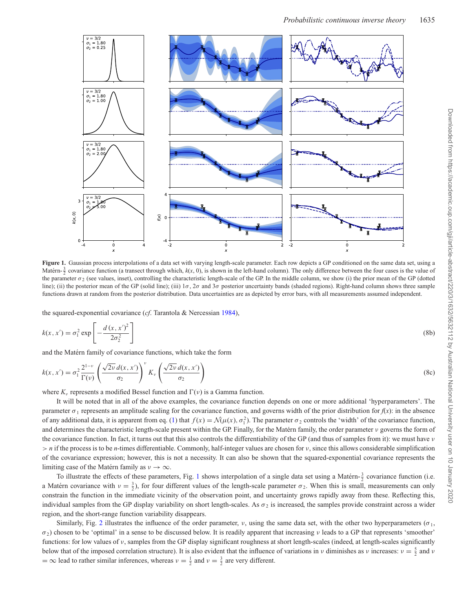<span id="page-3-0"></span>

Figure 1. Gaussian process interpolations of a data set with varying length-scale parameter. Each row depicts a GP conditioned on the same data set, using a Matérn- $\frac{3}{2}$  covariance function (a transect through which,  $k(x, 0)$ , is shown in the left-hand column). The only difference between the four cases is the value of the parameter  $\sigma_2$  (see values, inset), controlling the characteristic length-scale of the GP. In the middle column, we show (i) the prior mean of the GP (dotted line); (ii) the posterior mean of the GP (solid line); (iii)  $1\sigma$ ,  $2\sigma$  and  $3\sigma$  posterior uncertainty bands (shaded regions). Right-hand column shows three sample functions drawn at random from the posterior distribution. Data uncertainties are as depicted by error bars, with all measurements assumed independent.

the squared-exponential covariance (*cf*. Tarantola & Nercessian [1984\)](#page-14-18),

$$
k(x, x') = \sigma_1^2 \exp\left[-\frac{d(x, x')^2}{2\sigma_2^2}\right]
$$
\n(8b)

and the Matérn family of covariance functions, which take the form

$$
k(x, x') = \sigma_1^2 \frac{2^{1-\nu}}{\Gamma(\nu)} \left( \frac{\sqrt{2\nu} d(x, x')}{\sigma_2} \right)^{\nu} K_{\nu} \left( \frac{\sqrt{2\nu} d(x, x')}{\sigma_2} \right)
$$
(8c)

where  $K_v$  represents a modified Bessel function and  $\Gamma(v)$  is a Gamma function.

It will be noted that in all of the above examples, the covariance function depends on one or more additional 'hyperparameters'. The parameter  $\sigma_1$  represents an amplitude scaling for the covariance function, and governs width of the prior distribution for  $f(x)$ : in the absence of any additional data, it is apparent from eq. (1) that  $f(x) = \mathcal{N}(\mu(x), \sigma_1^2)$ . The parameter  $\sigma_2$  controls the 'width' of the covariance function, and determines the characteristic length-scale present within the GP. Finally, for the Matérn family, the order parameter  $v$  governs the form of the covariance function. In fact, it turns out that this also controls the differentiability of the GP (and thus of samples from it): we must have ν  $> n$  if the process is to be *n*-times differentiable. Commonly, half-integer values are chosen for  $\nu$ , since this allows considerable simplification of the covariance expression; however, this is not a necessity. It can also be shown that the squared-exponential covariance represents the limiting case of the Matérn family as  $v \to \infty$ .

To illustrate the effects of these parameters, Fig. [1](#page-3-0) shows interpolation of a single data set using a Matérn- $\frac{3}{2}$  covariance function (i.e. a Matérn covariance with  $v = \frac{3}{2}$ , for four different values of the length-scale parameter  $\sigma_2$ . When this is small, measurements can only constrain the function in the immediate vicinity of the observation point, and uncertainty grows rapidly away from these. Reflecting this, individual samples from the GP display variability on short length-scales. As  $\sigma_2$  is increased, the samples provide constraint across a wider region, and the short-range function variability disappears.

Similarly, Fig. [2](#page-4-0) illustrates the influence of the order parameter,  $v$ , using the same data set, with the other two hyperparameters ( $\sigma_1$ ,  $\sigma$ ) chosen to be 'optimal' in a sense to be discussed below. It is readily apparent that increasing ν leads to a GP that represents 'smoother' functions: for low values of ν, samples from the GP display significant roughness at short length-scales (indeed, at length-scales significantly below that of the imposed correlation structure). It is also evident that the influence of variations in  $\nu$  diminishes as  $\nu$  increases:  $\nu = \frac{5}{2}$  and  $\nu$  $=$   $\infty$  lead to rather similar inferences, whereas  $v = \frac{1}{2}$  and  $v = \frac{3}{2}$  are very different.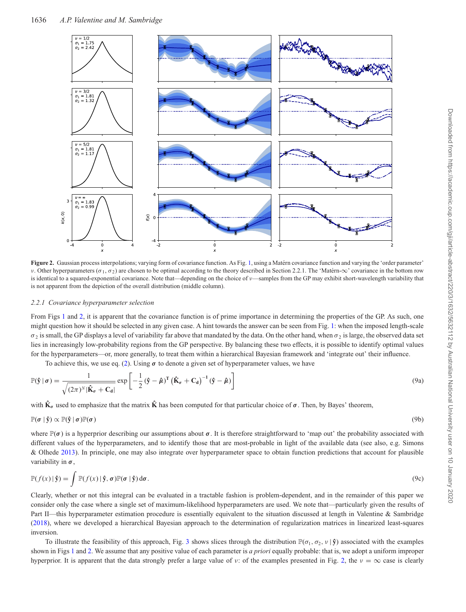<span id="page-4-0"></span>

Figure 2. Gaussian process interpolations; varying form of covariance function. As Fig. [1,](#page-3-0) using a Matérn covariance function and varying the 'order parameter' ν. Other hyperparameters (σ<sub>1</sub>, σ<sub>2</sub>) are chosen to be optimal according to the theory described in Section 2.2.1. The 'Matern- $\infty$ ' covariance in the bottom row is identical to a squared-exponential covariance. Note that—depending on the choice of v—samples from the GP may exhibit short-wavelength variability that is not apparent from the depiction of the overall distribution (middle column).

#### *2.2.1 Covariance hyperparameter selection*

From Figs [1](#page-3-0) and [2,](#page-4-0) it is apparent that the covariance function is of prime importance in determining the properties of the GP. As such, one might question how it should be selected in any given case. A hint towards the answer can be seen from Fig. [1:](#page-3-0) when the imposed length-scale  $\sigma_2$  is small, the GP displays a level of variability far above that mandated by the data. On the other hand, when  $\sigma_2$  is large, the observed data set lies in increasingly low-probability regions from the GP perspective. By balancing these two effects, it is possible to identify optimal values for the hyperparameters—or, more generally, to treat them within a hierarchical Bayesian framework and 'integrate out' their influence.

To achieve this, we use eq. (2). Using  $\sigma$  to denote a given set of hyperparameter values, we have

$$
\mathbb{P}(\hat{\mathbf{y}} \mid \boldsymbol{\sigma}) = \frac{1}{\sqrt{(2\pi)^N |\hat{\mathbf{K}}_{\boldsymbol{\sigma}} + \mathbf{C}_{\mathbf{d}}|}} \exp\left[-\frac{1}{2} (\hat{\mathbf{y}} - \hat{\boldsymbol{\mu}})^T (\hat{\mathbf{K}}_{\boldsymbol{\sigma}} + \mathbf{C}_{\mathbf{d}})^{-1} (\hat{\mathbf{y}} - \hat{\boldsymbol{\mu}})\right]
$$
(9a)

with  $\hat{\mathbf{k}}_{\sigma}$  used to emphasize that the matrix  $\hat{\mathbf{k}}$  has been computed for that particular choice of  $\sigma$ . Then, by Bayes' theorem,

$$
\mathbb{P}(\sigma \mid \hat{\mathbf{y}}) \propto \mathbb{P}(\hat{\mathbf{y}} \mid \sigma) \mathbb{P}(\sigma) \tag{9b}
$$

where  $\mathbb{P}(\sigma)$  is a hyperprior describing our assumptions about  $\sigma$ . It is therefore straightforward to 'map out' the probability associated with different values of the hyperparameters, and to identify those that are most-probable in light of the available data (see also, e.g. Simons & Olhede [2013\)](#page-14-28). In principle, one may also integrate over hyperparameter space to obtain function predictions that account for plausible variability in  $\sigma$ ,

$$
\mathbb{P}(f(x) \mid \hat{\mathbf{y}}) = \int \mathbb{P}(f(x) \mid \hat{\mathbf{y}}, \sigma) \mathbb{P}(\sigma \mid \hat{\mathbf{y}}) d\sigma.
$$
\n(9c)

Clearly, whether or not this integral can be evaluated in a tractable fashion is problem-dependent, and in the remainder of this paper we consider only the case where a single set of maximum-likelihood hyperparameters are used. We note that—particularly given the results of Part II—this hyperparameter estimation procedure is essentially equivalent to the situation discussed at length in Valentine & Sambridge [\(2018\)](#page-14-29), where we developed a hierarchical Bayesian approach to the determination of regularization matrices in linearized least-squares inversion.

To illustrate the feasibility of this approach, Fig. [3](#page-5-0) shows slices through the distribution  $\mathbb{P}(\sigma_1, \sigma_2, \nu | \hat{y})$  associated with the examples shown in Figs [1](#page-3-0) and [2.](#page-4-0) We assume that any positive value of each parameter is *a priori* equally probable: that is, we adopt a uniform improper hyperprior. It is apparent that the data strongly prefer a large value of v: of the examples presented in Fig. [2,](#page-4-0) the  $\nu = \infty$  case is clearly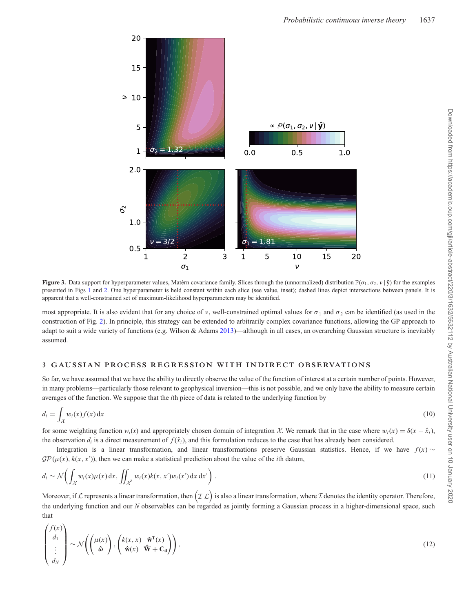<span id="page-5-0"></span>

**Figure 3.** Data support for hyperparameter values, Matérn covariance family. Slices through the (unnormalized) distribution  $\mathbb{P}(\sigma_1, \sigma_2, \nu | \hat{\mathbf{y}})$  for the examples presented in Figs [1](#page-3-0) and [2.](#page-4-0) One hyperparameter is held constant within each slice (see value, inset); dashed lines depict intersections between panels. It is apparent that a well-constrained set of maximum-likelihood hyperparameters may be identified.

most appropriate. It is also evident that for any choice of v, well-constrained optimal values for  $\sigma_1$  and  $\sigma_2$  can be identified (as used in the construction of Fig. [2\)](#page-4-0). In principle, this strategy can be extended to arbitrarily complex covariance functions, allowing the GP approach to adapt to suit a wide variety of functions (e.g. Wilson & Adams [2013\)](#page-14-30)—although in all cases, an overarching Gaussian structure is inevitably assumed.

# **3 GAUSSIAN PROCESS REGRESSION WITH INDIRECT OBSERVATIONS**

So far, we have assumed that we have the ability to directly observe the value of the function of interest at a certain number of points. However, in many problems—particularly those relevant to geophysical inversion—this is not possible, and we only have the ability to measure certain averages of the function. We suppose that the *i*th piece of data is related to the underlying function by

$$
d_i = \int_{\mathcal{X}} w_i(x) f(x) \, \mathrm{d}x \tag{10}
$$

for some weighting function  $w_i(x)$  and appropriately chosen domain of integration *X*. We remark that in the case where  $w_i(x) = \delta(x - \hat{x}_i)$ , the observation  $d_i$  is a direct measurement of  $f(\hat{x}_i)$ , and this formulation reduces to the case that has already been considered.

Integration is a linear transformation, and linear transformations preserve Gaussian statistics. Hence, if we have  $f(x) \sim$  $\mathcal{GP}(\mu(x), k(x, x'))$ , then we can make a statistical prediction about the value of the *i*th datum,

$$
d_i \sim \mathcal{N}\left(\int_{\mathcal{X}} w_i(x)\mu(x) dx, \iint_{\mathcal{X}^2} w_i(x)k(x, x')w_i(x') dx dx'\right).
$$
\n(11)

Moreover, if  $\mathcal L$  represents a linear transformation, then  $\bigl(\mathcal{I}\,\mathcal{L}\bigr)$  is also a linear transformation, where  $\mathcal I$  denotes the identity operator. Therefore, the underlying function and our *N* observables can be regarded as jointly forming a Gaussian process in a higher-dimensional space, such that

$$
\begin{pmatrix} f(x) \\ d_1 \\ \vdots \\ d_N \end{pmatrix} \sim \mathcal{N} \left( \begin{pmatrix} \mu(x) \\ \hat{\omega} \end{pmatrix}, \begin{pmatrix} k(x, x) & \hat{\mathbf{w}}^{\mathrm{T}}(x) \\ \hat{\mathbf{w}}(x) & \hat{\mathbf{W}} + \mathbf{C_d} \end{pmatrix} \right), \tag{12}
$$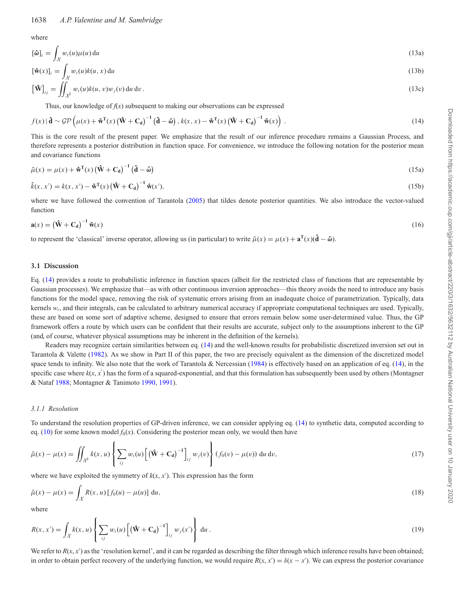where

$$
[\hat{\boldsymbol{\omega}}]_i = \int_{\mathcal{X}} w_i(u)\mu(u) \, \mathrm{d}u \tag{13a}
$$

$$
[\hat{\mathbf{w}}(x)]_i = \int w_i(u)k(u,x) \, \mathrm{d}u \tag{13b}
$$

$$
\left[\hat{\mathbf{W}}\right]_{ij} = \iint_{\mathcal{X}^2} w_i(u)k(u,v)w_j(v) \, \mathrm{d}u \, \mathrm{d}v \,. \tag{13c}
$$

Thus, our knowledge of  $f(x)$  subsequent to making our observations can be expressed

$$
f(x) | \mathbf{d} \sim \mathcal{GP}\left(\mu(x) + \mathbf{\hat{w}}^{\mathrm{T}}(x) \left(\mathbf{\hat{W}} + \mathbf{C}_{\mathbf{d}}\right)^{-1} \left(\mathbf{\hat{d}} - \hat{\boldsymbol{\omega}}\right), k(x, x) - \mathbf{\hat{w}}^{\mathrm{T}}(x) \left(\mathbf{\hat{W}} + \mathbf{C}_{\mathbf{d}}\right)^{-1} \mathbf{\hat{w}}(x)\right).
$$
\n(14)

This is the core result of the present paper. We emphasize that the result of our inference procedure remains a Gaussian Process, and therefore represents a posterior distribution in function space. For convenience, we introduce the following notation for the posterior mean and covariance functions

$$
\tilde{\mu}(x) = \mu(x) + \mathbf{\hat{w}}^{\mathrm{T}}(x) (\mathbf{\hat{W}} + \mathbf{C_d})^{-1} (\mathbf{\hat{d}} - \mathbf{\hat{\omega}})
$$
\n(15a)

$$
\tilde{k}(x, x') = k(x, x') - \mathbf{\hat{w}}^{\mathrm{T}}(x) (\mathbf{\hat{W}} + \mathbf{C}_{\mathrm{d}})^{-1} \mathbf{\hat{w}}(x'),
$$
\n(15b)

where we have followed the convention of Tarantola [\(2005\)](#page-14-16) that tildes denote posterior quantities. We also introduce the vector-valued function

$$
\mathbf{a}(x) = \left(\hat{\mathbf{W}} + \mathbf{C}_{\mathbf{d}}\right)^{-1} \hat{\mathbf{w}}(x) \tag{16}
$$

to represent the 'classical' inverse operator, allowing us (in particular) to write  $\tilde{\mu}(x) = \mu(x) + \mathbf{a}^{\mathrm{T}}(x)(\mathbf{\hat{d}} - \hat{\boldsymbol{\omega}})$ .

#### **3.1 Discussion**

Eq. (14) provides a route to probabilistic inference in function spaces (albeit for the restricted class of functions that are representable by Gaussian processes). We emphasize that—as with other continuous inversion approaches—this theory avoids the need to introduce any basis functions for the model space, removing the risk of systematic errors arising from an inadequate choice of parametrization. Typically, data kernels *wi*, and their integrals, can be calculated to arbitrary numerical accuracy if appropriate computational techniques are used. Typically, these are based on some sort of adaptive scheme, designed to ensure that errors remain below some user-determined value. Thus, the GP framework offers a route by which users can be confident that their results are accurate, subject only to the assumptions inherent to the GP (and, of course, whatever physical assumptions may be inherent in the definition of the kernels).

Readers may recognize certain similarities between eq. (14) and the well-known results for probabilistic discretized inversion set out in Tarantola & Valette [\(1982\)](#page-14-17). As we show in Part II of this paper, the two are precisely equivalent as the dimension of the discretized model space tends to infinity. We also note that the work of Tarantola & Nercessian  $(1984)$  is effectively based on an application of eq. (14), in the specific case where  $k(x, x')$  has the form of a squared-exponential, and that this formulation has subsequently been used by others (Montagner & Nataf [1988;](#page-14-31) Montagner & Tanimoto [1990,](#page-14-32) [1991\)](#page-14-33).

#### *3.1.1 Resolution*

To understand the resolution properties of GP-driven inference, we can consider applying eq. (14) to synthetic data, computed according to eq. (10) for some known model  $f_0(x)$ . Considering the posterior mean only, we would then have

$$
\tilde{\mu}(x) - \mu(x) = \iint_{\mathcal{X}^2} k(x, u) \left\{ \sum_{ij} w_i(u) \left[ \left( \hat{\mathbf{W}} + \mathbf{C}_d \right)^{-1} \right]_{ij} w_j(v) \right\} (f_0(v) - \mu(v)) du dv,
$$
\n(17)

where we have exploited the symmetry of  $k(x, x')$ . This expression has the form

$$
\tilde{\mu}(x) - \mu(x) = \int_{\mathcal{X}} R(x, u) [f_0(u) - \mu(u)] du,
$$
\n(18)

where

$$
R(x, x') = \int_{\mathcal{X}} k(x, u) \left\{ \sum_{ij} w_i(u) \left[ \left( \hat{\mathbf{W}} + \mathbf{C_d} \right)^{-1} \right]_{ij} w_j(x') \right\} du.
$$
 (19)

We refer to  $R(x, x')$  as the 'resolution kernel', and it can be regarded as describing the filter through which inference results have been obtained; in order to obtain perfect recovery of the underlying function, we would require  $R(x, x') = \delta(x - x')$ . We can express the posterior covariance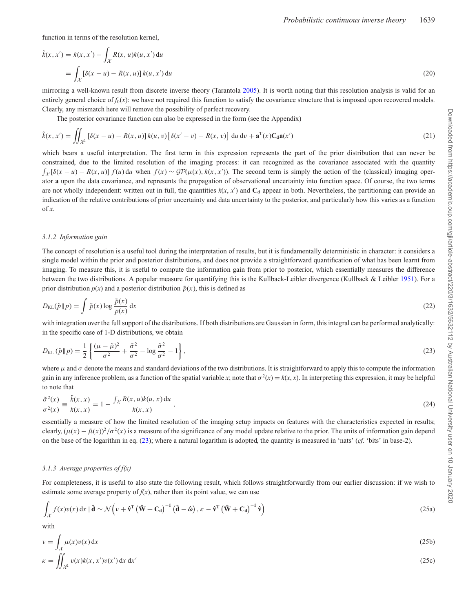function in terms of the resolution kernel,

$$
\tilde{k}(x, x') = k(x, x') - \int_{\mathcal{X}} R(x, u)k(u, x') du
$$
  
= 
$$
\int_{\mathcal{X}} [\delta(x - u) - R(x, u)] k(u, x') du
$$
 (20)

mirroring a well-known result from discrete inverse theory (Tarantola [2005\)](#page-14-16). It is worth noting that this resolution analysis is valid for an entirely general choice of  $f_0(x)$ : we have not required this function to satisfy the covariance structure that is imposed upon recovered models. Clearly, any mismatch here will remove the possibility of perfect recovery.

The posterior covariance function can also be expressed in the form (see the Appendix)

$$
\tilde{k}(x, x') = \iint_{\mathcal{X}^2} \left[ \delta(x - u) - R(x, u) \right] k(u, v) \left[ \delta(x' - v) - R(x, v) \right] du dv + \mathbf{a}^{\mathrm{T}}(x) \mathbf{C}_\mathbf{d} \mathbf{a}(x')
$$
\n(21)

which bears a useful interpretation. The first term in this expression represents the part of the prior distribution that can never be constrained, due to the limited resolution of the imaging process: it can recognized as the covariance associated with the quantity  $\int_{\mathcal{X}} [\delta(x - u) - R(x, u)] f(u) du$  when  $f(x) \sim \mathcal{GP}(\mu(x), k(x, x'))$ . The second term is simply the action of the (classical) imaging operator **a** upon the data covariance, and represents the propagation of observational uncertainty into function space. Of course, the two terms are not wholly independent: written out in full, the quantities  $k(x, x')$  and  $C_d$  appear in both. Nevertheless, the partitioning can provide an indication of the relative contributions of prior uncertainty and data uncertainty to the posterior, and particularly how this varies as a function of  $\mathfrak{X}$ .

#### *3.1.2 Information gain*

The concept of resolution is a useful tool during the interpretation of results, but it is fundamentally deterministic in character: it considers a single model within the prior and posterior distributions, and does not provide a straightforward quantification of what has been learnt from imaging. To measure this, it is useful to compute the information gain from prior to posterior, which essentially measures the difference between the two distributions. A popular measure for quantifying this is the Kullback-Leibler divergence (Kullback & Leibler [1951\)](#page-14-34). For a prior distribution  $p(x)$  and a posterior distribution  $\tilde{p}(x)$ , this is defined as

$$
D_{\text{KL}}(\tilde{p} \| p) = \int \tilde{p}(x) \log \frac{\tilde{p}(x)}{p(x)} dx
$$
\n(22)

with integration over the full support of the distributions. If both distributions are Gaussian in form, this integral can be performed analytically: in the specific case of 1-D distributions, we obtain

$$
D_{\text{KL}}\left(\tilde{p} \| p\right) = \frac{1}{2} \left\{ \frac{(\mu - \tilde{\mu})^2}{\sigma^2} + \frac{\tilde{\sigma}^2}{\sigma^2} - \log \frac{\tilde{\sigma}^2}{\sigma^2} - 1 \right\},\tag{23}
$$

where  $\mu$  and  $\sigma$  denote the means and standard deviations of the two distributions. It is straightforward to apply this to compute the information gain in any inference problem, as a function of the spatial variable *x*; note that  $\sigma^2(x) = k(x, x)$ . In interpreting this expression, it may be helpful to note that

$$
\frac{\tilde{\sigma}^2(x)}{\sigma^2(x)} \equiv \frac{\tilde{k}(x,x)}{k(x,x)} = 1 - \frac{\int_{\mathcal{X}} R(x,u)k(u,x) \, \mathrm{d}u}{k(x,x)},\tag{24}
$$

essentially a measure of how the limited resolution of the imaging setup impacts on features with the characteristics expected in results; clearly,  $(\mu(x) - \tilde{\mu}(x))^2/\sigma^2(x)$  is a measure of the significance of any model update relative to the prior. The units of information gain depend on the base of the logarithm in eq. (23); where a natural logarithm is adopted, the quantity is measured in 'nats' (*cf*. 'bits' in base-2).

#### *3.1.3 Average properties of f(x)*

For completeness, it is useful to also state the following result, which follows straightforwardly from our earlier discussion: if we wish to estimate some average property of  $f(x)$ , rather than its point value, we can use

$$
\int_{\mathcal{X}} f(x)v(x) dx \mid \hat{\mathbf{d}} \sim \mathcal{N} \left( v + \hat{\mathbf{v}}^{\mathrm{T}} \left( \hat{\mathbf{W}} + \mathbf{C}_{\mathbf{d}} \right)^{-1} \left( \hat{\mathbf{d}} - \hat{\boldsymbol{\omega}} \right), \kappa - \hat{\mathbf{v}}^{\mathrm{T}} \left( \hat{\mathbf{W}} + \mathbf{C}_{\mathbf{d}} \right)^{-1} \hat{\mathbf{v}} \right)
$$
\n(25a)

with

$$
v = \int_{\mathcal{X}} \mu(x)v(x) dx
$$
\n(25b)

$$
\kappa = \iint_{\mathcal{X}^2} v(x)k(x, x')v(x') \, \mathrm{d}x \, \mathrm{d}x' \tag{25c}
$$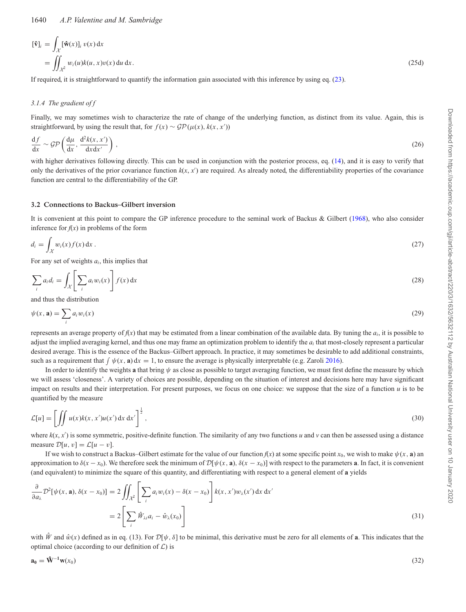$$
[\hat{\mathbf{v}}]_i = \int_{\mathcal{X}} [\hat{\mathbf{w}}(x)]_i v(x) dx
$$
  
= 
$$
\iint_{\mathcal{X}^2} w_i(u)k(u, x)v(x) du dx.
$$
 (25d)

If required, it is straightforward to quantify the information gain associated with this inference by using eq. (23).

# *3.1.4 The gradient of f*

Finally, we may sometimes wish to characterize the rate of change of the underlying function, as distinct from its value. Again, this is straightforward, by using the result that, for  $f(x) \sim \mathcal{GP}(\mu(x), k(x, x'))$ 

$$
\frac{\mathrm{d}f}{\mathrm{d}x} \sim \mathcal{GP}\left(\frac{\mathrm{d}\mu}{\mathrm{d}x}, \frac{\mathrm{d}^2k(x, x')}{\mathrm{d}x \mathrm{d}x'}\right),\tag{26}
$$

with higher derivatives following directly. This can be used in conjunction with the posterior process, eq. (14), and it is easy to verify that only the derivatives of the prior covariance function  $k(x, x')$  are required. As already noted, the differentiability properties of the covariance function are central to the differentiability of the GP.

# **3.2 Connections to Backus–Gilbert inversion**

It is convenient at this point to compare the GP inference procedure to the seminal work of Backus & Gilbert [\(1968\)](#page-14-6), who also consider inference for  $f(x)$  in problems of the form

$$
d_i = \int_{\mathcal{X}} w_i(x) f(x) \, \mathrm{d}x \,. \tag{27}
$$

For any set of weights *ai*, this implies that

$$
\sum_{i} a_i d_i = \int_{\mathcal{X}} \left[ \sum_{i} a_i w_i(x) \right] f(x) dx \tag{28}
$$

and thus the distribution

$$
\psi(x, \mathbf{a}) = \sum_{i} a_i w_i(x) \tag{29}
$$

represents an average property of  $f(x)$  that may be estimated from a linear combination of the available data. By tuning the  $a_i$ , it is possible to adjust the implied averaging kernel, and thus one may frame an optimization problem to identify the *ai* that most-closely represent a particular desired average. This is the essence of the Backus–Gilbert approach. In practice, it may sometimes be desirable to add additional constraints, such as a requirement that  $\int \psi(x, \mathbf{a}) dx = 1$ , to ensure the average is physically interpretable (e.g. Zaroli [2016\)](#page-15-1).

In order to identify the weights **a** that bring  $\psi$  as close as possible to target averaging function, we must first define the measure by which we will assess 'closeness'. A variety of choices are possible, depending on the situation of interest and decisions here may have significant impact on results and their interpretation. For present purposes, we focus on one choice: we suppose that the size of a function *u* is to be quantified by the measure

$$
\mathcal{L}[u] = \left[ \iint u(x)k(x, x')u(x') dx dx' \right]^{\frac{1}{2}},
$$
\n(30)

where  $k(x, x')$  is some symmetric, positive-definite function. The similarity of any two functions *u* and *v* can then be assessed using a distance measure  $\mathcal{D}[u, v] = \mathcal{L}[u - v]$ .

If we wish to construct a Backus–Gilbert estimate for the value of our function  $f(x)$  at some specific point  $x_0$ , we wish to make  $\psi(x, \mathbf{a})$  and approximation to  $\delta(x - x_0)$ . We therefore seek the minimum of  $\mathcal{D}[\psi(x, \mathbf{a}), \delta(x - x_0)]$  with respect to the parameters **a**. In fact, it is convenient (and equivalent) to minimize the square of this quantity, and differentiating with respect to a general element of **a** yields

$$
\frac{\partial}{\partial a_{\lambda}} \mathcal{D}^{2}[\psi(x, \mathbf{a}), \delta(x - x_{0})] = 2 \iint_{\mathcal{X}^{2}} \left[ \sum_{i} a_{i} w_{i}(x) - \delta(x - x_{0}) \right] k(x, x') w_{\lambda}(x') dx dx'
$$
\n
$$
= 2 \left[ \sum_{i} \hat{W}_{\lambda i} a_{i} - \hat{w}_{\lambda}(x_{0}) \right]
$$
\n(31)

with  $\hat{W}$  and  $\hat{w}(x)$  defined as in eq. (13). For  $\mathcal{D}[\psi, \delta]$  to be minimal, this derivative must be zero for all elements of **a**. This indicates that the optimal choice (according to our definition of *L*) is

$$
\mathbf{a}_0 = \mathbf{\hat{W}}^{-1}\mathbf{w}(x_0) \tag{32}
$$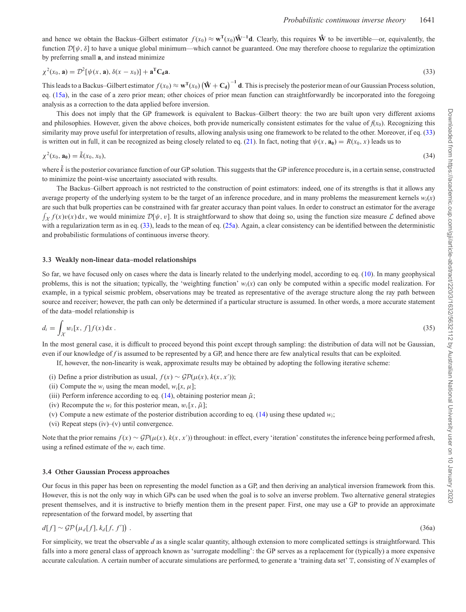and hence we obtain the Backus–Gilbert estimator  $f(x_0) \approx \mathbf{w}^T(x_0) \mathbf{\hat{W}}^{-1} \mathbf{d}$ . Clearly, this requires  $\mathbf{\hat{W}}$  to be invertible—or, equivalently, the function  $D[\psi, \delta]$  to have a unique global minimum—which cannot be guaranteed. One may therefore choose to regularize the optimization by preferring small **a**, and instead minimize

$$
\chi^2(x_0, \mathbf{a}) = \mathcal{D}^2[\psi(x, \mathbf{a}), \delta(x - x_0)] + \mathbf{a}^{\mathrm{T}} \mathbf{C}_d \mathbf{a}.
$$
\n(33)

This leads to a Backus–Gilbert estimator  $f(x_0) \approx \mathbf{w}^T(x_0) (\mathbf{\hat{W}} + \mathbf{C_d})^{-1}$  **d**. This is precisely the posterior mean of our Gaussian Process solution, eq. (15a), in the case of a zero prior mean; other choices of prior mean function can straightforwardly be incorporated into the foregoing analysis as a correction to the data applied before inversion.

This does not imply that the GP framework is equivalent to Backus–Gilbert theory: the two are built upon very different axioms and philosophies. However, given the above choices, both provide numerically consistent estimates for the value of  $f(x_0)$ . Recognizing this similarity may prove useful for interpretation of results, allowing analysis using one framework to be related to the other. Moreover, if eq. (33) is written out in full, it can be recognized as being closely related to eq. (21). In fact, noting that  $\psi(x, \mathbf{a_0}) = R(x_0, x)$  leads us to

$$
\chi^2(x_0, \mathbf{a}_0) = \tilde{k}(x_0, x_0),\tag{34}
$$

where  $\tilde{k}$  is the posterior covariance function of our GP solution. This suggests that the GP inference procedure is, in a certain sense, constructed to minimize the point-wise uncertainty associated with results.

The Backus–Gilbert approach is not restricted to the construction of point estimators: indeed, one of its strengths is that it allows any average property of the underlying system to be the target of an inference procedure, and in many problems the measurement kernels  $w_i(x)$ are such that bulk properties can be constrained with far greater accuracy than point values. In order to construct an estimator for the average  $\int_{\mathcal{X}} f(x)v(x) dx$ , we would minimize  $\mathcal{D}[\psi, v]$ . It is straightforward to show that doing so, using the function size measure *L* defined above with a regularization term as in eq. (33), leads to the mean of eq. (25a). Again, a clear consistency can be identified between the deterministic and probabilistic formulations of continuous inverse theory.

#### **3.3 Weakly non-linear data–model relationships**

So far, we have focused only on cases where the data is linearly related to the underlying model, according to eq. (10). In many geophysical problems, this is not the situation; typically, the 'weighting function'  $w_i(x)$  can only be computed within a specific model realization. For example, in a typical seismic problem, observations may be treated as representative of the average structure along the ray path between source and receiver; however, the path can only be determined if a particular structure is assumed. In other words, a more accurate statement of the data–model relationship is

$$
d_i = \int_{\mathcal{X}} w_i[x, f] f(x) \, \mathrm{d}x \,. \tag{35}
$$

In the most general case, it is difficult to proceed beyond this point except through sampling: the distribution of data will not be Gaussian, even if our knowledge of *f* is assumed to be represented by a GP, and hence there are few analytical results that can be exploited.

If, however, the non-linearity is weak, approximate results may be obtained by adopting the following iterative scheme:

- (i) Define a prior distribution as usual,  $f(x) \sim \mathcal{GP}(\mu(x), k(x, x'))$ ;
- (ii) Compute the  $w_i$  using the mean model,  $w_i[x, \mu]$ ;
- (iii) Perform inference according to eq.  $(14)$ , obtaining posterior mean  $\tilde{\mu}$ ;
- (iv) Recompute the  $w_i$  for this posterior mean,  $w_i[x, \tilde{\mu}]$ ;
- (v) Compute a new estimate of the posterior distribution according to eq. (14) using these updated *wi*;
- (vi) Repeat steps (iv)–(v) until convergence.

Note that the prior remains  $f(x) \sim \mathcal{GP}(\mu(x), k(x, x'))$  throughout: in effect, every 'iteration' constitutes the inference being performed afresh, using a refined estimate of the  $w_i$  each time.

#### **3.4 Other Gaussian Process approaches**

Our focus in this paper has been on representing the model function as a GP, and then deriving an analytical inversion framework from this. However, this is not the only way in which GPs can be used when the goal is to solve an inverse problem. Two alternative general strategies present themselves, and it is instructive to briefly mention them in the present paper. First, one may use a GP to provide an approximate representation of the forward model, by asserting that

$$
d[f] \sim \mathcal{GP}(\mu_d[f], k_d[f, f']) \tag{36a}
$$

For simplicity, we treat the observable *d* as a single scalar quantity, although extension to more complicated settings is straightforward. This falls into a more general class of approach known as 'surrogate modelling': the GP serves as a replacement for (typically) a more expensive accurate calculation. A certain number of accurate simulations are performed, to generate a 'training data set' T, consisting of *N* examples of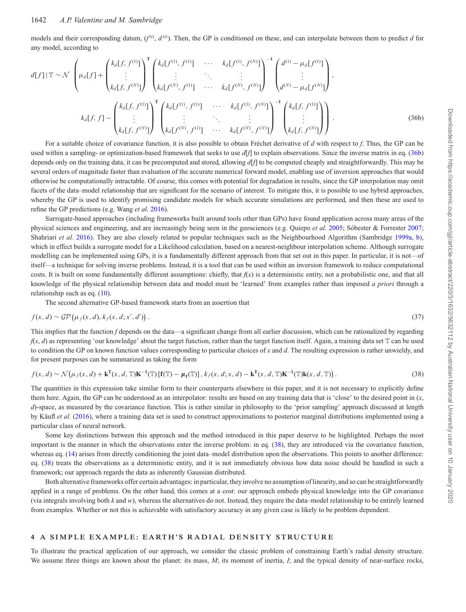models and their corresponding datum,  $(f^{(i)}, d^{(i)})$ . Then, the GP is conditioned on these, and can interpolate between them to predict *d* for any model, according to

$$
d[f]|\mathbb{T} \sim \mathcal{N}\left(\mu_d[f] + \begin{pmatrix} k_d[f, f^{(1)}] \\ \vdots \\ k_d[f, f^{(N)}] \end{pmatrix}^{\mathsf{T}} \begin{pmatrix} k_d[f^{(1)}, f^{(1)}] & \cdots & k_d[f^{(1)}, f^{(N)}] \\ \vdots & \ddots & \vdots \\ k_d[f, f^{(N)}] & \cdots & k_d[f^{(N)}, f^{(N)}] \end{pmatrix}^{-1} \begin{pmatrix} d^{(1)} - \mu_d[f^{(1)}] \\ \vdots \\ d^{(N)} - \mu_d[f^{(N)}] \end{pmatrix},
$$

$$
k_d[f, f] - \begin{pmatrix} k_d[f, f^{(1)}] \\ \vdots \\ k_d[f, f^{(N)}] \end{pmatrix}^{\mathsf{T}} \begin{pmatrix} k_d[f^{(1)}, f^{(1)}] & \cdots & k_d[f^{(1)}, f^{(N)}] \\ \vdots & \ddots & \vdots \\ k_d[f, f^{(N)}, f^{(1)}] & \cdots & k_d[f^{(N)}, f^{(N)}] \end{pmatrix}^{-1} \begin{pmatrix} k_d[f, f^{(1)}] \\ \vdots \\ k_d[f, f^{(N)}] \end{pmatrix}.
$$
(36b)

For a suitable choice of covariance function, it is also possible to obtain Fréchet derivative of d with respect to f. Thus, the GP can be used within a sampling- or optimization-based framework that seeks to use  $d[f]$  to explain observations. Since the inverse matrix in eq. (36b) depends only on the training data, it can be precomputed and stored, allowing *d*[*f*] to be computed cheaply and straightforwardly. This may be several orders of magnitude faster than evaluation of the accurate numerical forward model, enabling use of inversion approaches that would otherwise be computationally intractable. Of course, this comes with potential for degradation in results, since the GP interpolation may omit facets of the data–model relationship that are significant for the scenario of interest. To mitigate this, it is possible to use hybrid approaches, whereby the GP is used to identify promising candidate models for which accurate simulations are performed, and then these are used to refine the GP predictions (e.g. Wang *et al.* [2016\)](#page-14-35).

Surrogate-based approaches (including frameworks built around tools other than GPs) have found application across many areas of the physical sciences and engineering, and are increasingly being seen in the geosciences (e.g. Quiepo *et al.* [2005;](#page-14-36) Sóbester & Forrester [2007;](#page-14-37) Shahriari *et al.* [2016\)](#page-14-38). They are also closely related to popular techniques such as the Neighbourhood Algorithm (Sambridge [1999a,](#page-14-39) [b\)](#page-14-40), which in effect builds a surrogate model for a Likelihood calculation, based on a nearest-neighbour interpolation scheme. Although surrogate modelling can be implemented using GPs, it is a fundamentally different approach from that set out in this paper. In particular, it is not—of itself—a technique for solving inverse problems. Instead, it is a tool that can be used within an inversion framework to reduce computational costs. It is built on some fundamentally different assumptions: chiefly, that  $f(x)$  is a deterministic entity, not a probabilistic one, and that all knowledge of the physical relationship between data and model must be 'learned' from examples rather than imposed *a priori* through a relationship such as eq. (10).

The second alternative GP-based framework starts from an assertion that

$$
f(x,d) \sim \mathcal{GP}(\mu_f(x,d), k_f(x,d;x',d'))\,. \tag{37}
$$

This implies that the function *f* depends on the data—a significant change from all earlier discussion, which can be rationalized by regarding  $f(x, d)$  as representing 'our knowledge' about the target function, rather than the target function itself. Again, a training data set  $\mathbb T$  can be used to condition the GP on known function values corresponding to particular choices of *x* and *d*. The resulting expression is rather unwieldy, and for present purposes can be summarized as taking the form

$$
f(x,d) \sim \mathcal{N}(\mu_f(x,d) + \mathbf{k}^{\mathrm{T}}(x,d,\mathbb{T})\mathbf{K}^{-1}(\mathbb{T})\left[\mathbf{f}(\mathbb{T}) - \mu_{\mathbf{f}}(\mathbb{T})\right], k_f(x,d;x,d) - \mathbf{k}^{\mathrm{T}}(x,d,\mathbb{T})\mathbf{K}^{-1}(\mathbb{T})\mathbf{k}(x,d,\mathbb{T})\right).
$$
 (38)

The quantities in this expression take similar form to their counterparts elsewhere in this paper, and it is not necessary to explicitly define them here. Again, the GP can be understood as an interpolator: results are based on any training data that is 'close' to the desired point in  $(x,$ *d*)-space, as measured by the covariance function. This is rather similar in philosophy to the 'prior sampling' approach discussed at length by Käufl *et al.* [\(2016\)](#page-14-41), where a training data set is used to construct approximations to posterior marginal distributions implemented using a particular class of neural network.

Some key distinctions between this approach and the method introduced in this paper deserve to be highlighted. Perhaps the most important is the manner in which the observations enter the inverse problem: in eq. (38), they are introduced via the covariance function, whereas eq. (14) arises from directly conditioning the joint data–model distribution upon the observations. This points to another difference: eq. (38) treats the observations as a deterministic entity, and it is not immediately obvious how data noise should be handled in such a framework; our approach regards the data as inherently Gaussian distributed.

Both alternative frameworks offer certain advantages: in particular, they involve no assumption of linearity, and so can be straightforwardly applied in a range of problems. On the other hand, this comes at a cost: our approach embeds physical knowledge into the GP covariance (via integrals involving both *k* and *w*), whereas the alternatives do not. Instead, they require the data–model relationship to be entirely learned from examples. Whether or not this is achievable with satisfactory accuracy in any given case is likely to be problem dependent.

### **4 A S IMPLE EXAMPLE: EARTH'S RAD IAL DENS ITY STRUCTURE**

To illustrate the practical application of our approach, we consider the classic problem of constraining Earth's radial density structure. We assume three things are known about the planet: its mass, M; its moment of inertia, I; and the typical density of near-surface rocks,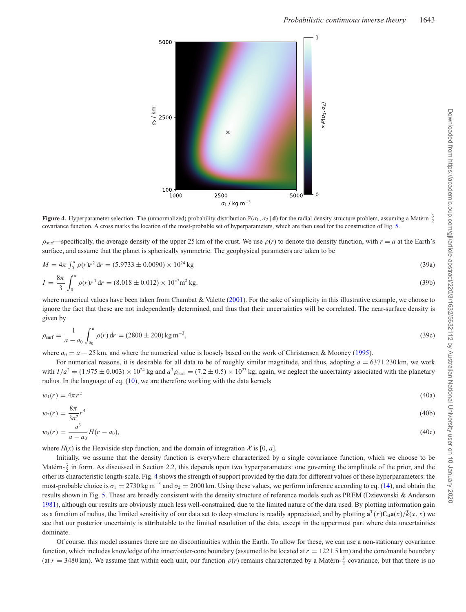<span id="page-11-0"></span>

**Figure 4.** Hyperparameter selection. The (unnormalized) probability distribution  $\mathbb{P}(\sigma_1, \sigma_2 | \mathbf{d})$  for the radial density structure problem, assuming a Matérn-  $\frac{3}{2}$ covariance function. A cross marks the location of the most-probable set of hyperparameters, which are then used for the construction of Fig. [5.](#page-12-0)

 $\rho_{\text{surf}}$ —specifically, the average density of the upper 25 km of the crust. We use  $\rho(r)$  to denote the density function, with  $r = a$  at the Earth's surface, and assume that the planet is spherically symmetric. The geophysical parameters are taken to be

$$
M = 4\pi \int_0^a \rho(r)r^2 dr = (5.9733 \pm 0.0090) \times 10^{24} \text{ kg}
$$
\n
$$
I = \frac{8\pi}{\rho} \int_0^a \rho(r)r^4 dr = (8.018 \pm 0.012) \times 10^{37} \text{ m}^2 \text{ kg}
$$
\n(39a)

$$
I = \frac{8\pi}{3} \int_0^a \rho(r)r^4 dr = (8.018 \pm 0.012) \times 10^{37} \text{m}^2 \text{ kg},
$$
\n(39b)  
\nwhere numerical values have been taken from Chambat & Valette (2001). For the sake of simplicity in this illustrative example, we choose to

ignore the fact that these are not independently determined, and thus that their uncertainties will be correlated. The near-surface density is given by

$$
\rho_{\text{surf}} = \frac{1}{a - a_0} \int_{a_0}^{a} \rho(r) dr = (2800 \pm 200) \text{kg m}^{-3},\tag{39c}
$$

where  $a_0 = a - 25$  km, and where the numerical value is loosely based on the work of Christensen & Mooney [\(1995\)](#page-14-43).

For numerical reasons, it is desirable for all data to be of roughly similar magnitude, and thus, adopting *a* = 6371*.*230 km, we work with  $I/a^2 = (1.975 \pm 0.003) \times 10^{24}$  kg and  $a^3 \rho_{\text{surf}} = (7.2 \pm 0.5) \times 10^{23}$  kg; again, we neglect the uncertainty associated with the planetary radius. In the language of eq. (10), we are therefore working with the data kernels

$$
w_1(r) = 4\pi r^2 \tag{40a}
$$

$$
w_2(r) = \frac{8\pi}{3a^2}r^4\tag{40b}
$$

$$
w_3(r) = \frac{a^3}{a - a_0} H(r - a_0),\tag{40c}
$$

where  $H(x)$  is the Heaviside step function, and the domain of integration X is [0, *a*].

Initially, we assume that the density function is everywhere characterized by a single covariance function, which we choose to be Matérn- $\frac{3}{2}$  in form. As discussed in Section 2.2, this depends upon two hyperparameters: one governing the amplitude of the prior, and the other its characteristic length-scale. Fig. [4](#page-11-0) shows the strength of support provided by the data for different values of these hyperparameters: the most-probable choice is  $\sigma_1 = 2730 \text{ kg m}^{-3}$  and  $\sigma_2 = 2000 \text{ km}$ . Using these values, we perform inference according to eq. (14), and obtain the results shown in Fig. [5.](#page-12-0) These are broadly consistent with the density structure of reference models such as PREM (Dziewonski & Anderson [1981\)](#page-14-44), although our results are obviously much less well-constrained, due to the limited nature of the data used. By plotting information gain as a function of radius, the limited sensitivity of our data set to deep structure is readily appreciated, and by plotting  $\mathbf{a}^{\mathrm{T}}(x) \mathbf{C_d} \mathbf{a}(x) / \tilde{k}(x, x)$  we see that our posterior uncertainty is attributable to the limited resolution of the data, except in the uppermost part where data uncertainties dominate.

Of course, this model assumes there are no discontinuities within the Earth. To allow for these, we can use a non-stationary covariance function, which includes knowledge of the inner/outer-core boundary (assumed to be located at  $r = 1221.5$  km) and the core/mantle boundary (at  $r = 3480$  km). We assume that within each unit, our function  $\rho(r)$  remains characterized by a Matérn- $\frac{3}{2}$  covariance, but that there is no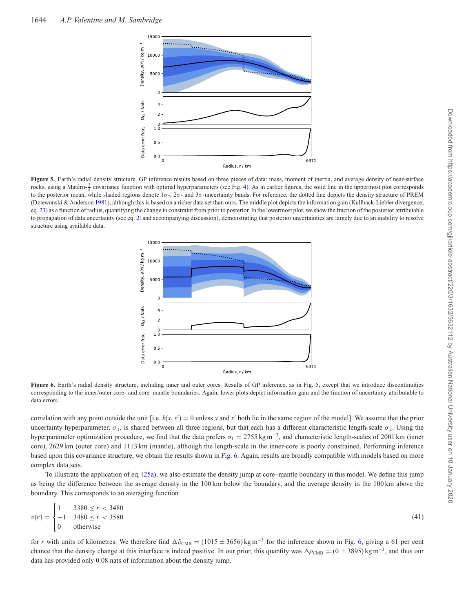<span id="page-12-0"></span>

<span id="page-12-1"></span>**Figure 5.** Earth's radial density structure. GP inference results based on three pieces of data: mass, moment of inertia, and average density of near-surface rocks, using a Matérn- $\frac{3}{2}$  covariance function with optimal hyperparameters (see Fig. [4\)](#page-11-0). As in earlier figures, the solid line in the uppermost plot corresponds to the posterior mean, while shaded regions denote  $1\sigma$ -,  $2\sigma$ - and  $3\sigma$ -uncertainty bands. For reference, the dotted line depicts the density structure of PREM (Dziewonski & Anderson [1981\)](#page-14-44), although this is based on a richer data set than ours. The middle plot depicts the information gain (Kullback-Liebler divergence, eq. 23) as a function of radius, quantifying the change in constraint from prior to posterior. In the lowermost plot, we show the fraction of the posterior attributable to propagation of data uncertainty (see eq. 21and accompanying discussion), demonstrating that posterior uncertainties are largely due to an inability to resolve structure using available data.



**Figure 6.** Earth's radial density structure, including inner and outer cores. Results of GP inference, as in Fig. [5,](#page-12-0) except that we introduce discontinuities corresponding to the inner/outer core- and core–mantle boundaries. Again, lower plots depict information gain and the fraction of uncertainty attributable to data errors.

correlation with any point outside the unit [i.e.  $k(x, x') = 0$  unless *x* and  $x'$  both lie in the same region of the model]. We assume that the prior uncertainty hyperparameter,  $\sigma_1$ , is shared between all three regions, but that each has a different characteristic length-scale  $\sigma_2$ . Using the hyperparameter optimization procedure, we find that the data prefers  $\sigma_1 = 2755 \text{ kg m}^{-3}$ , and characteristic length-scales of 2001 km (inner core), 2629 km (outer core) and 1113 km (mantle), although the length-scale in the inner-core is poorly constrained. Performing inference based upon this covariance structure, we obtain the results shown in Fig. [6.](#page-12-1) Again, results are broadly compatible with models based on more complex data sets.

To illustrate the application of eq. (25a), we also estimate the density jump at core–mantle boundary in this model. We define this jump as being the difference between the average density in the 100 km below the boundary, and the average density in the 100 km above the boundary. This corresponds to an averaging function

$$
v(r) = \begin{cases} 1 & 3380 \le r < 3480 \\ -1 & 3480 \le r < 3580 \\ 0 & \text{otherwise} \end{cases}
$$
(41)

for *r* with units of kilometres. We therefore find  $\Delta \tilde{\rho}_{CMB} = (1015 \pm 3656) \text{ kg m}^{-3}$  for the inference shown in Fig. [6,](#page-12-1) giving a 61 per cent chance that the density change at this interface is indeed positive. In our prior, this quantity was  $\Delta \rho_{\rm CMB} = (0 \pm 3895) \text{ kg m}^{-3}$ , and thus our data has provided only 0.08 nats of information about the density jump.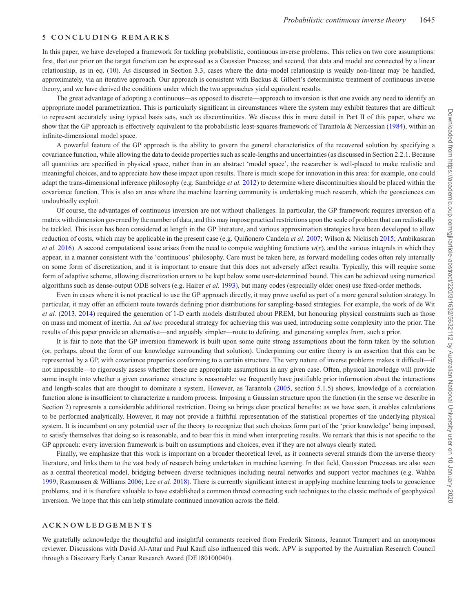### **5 CONCLUDING REMARKS**

In this paper, we have developed a framework for tackling probabilistic, continuous inverse problems. This relies on two core assumptions: first, that our prior on the target function can be expressed as a Gaussian Process; and second, that data and model are connected by a linear relationship, as in eq. (10). As discussed in Section 3.3, cases where the data–model relationship is weakly non-linear may be handled, approximately, via an iterative approach. Our approach is consistent with Backus & Gilbert's deterministic treatment of continuous inverse theory, and we have derived the conditions under which the two approaches yield equivalent results.

The great advantage of adopting a continuous—as opposed to discrete—approach to inversion is that one avoids any need to identify an appropriate model parametrization. This is particularly significant in circumstances where the system may exhibit features that are difficult to represent accurately using typical basis sets, such as discontinuities. We discuss this in more detail in Part II of this paper, where we show that the GP approach is effectively equivalent to the probabilistic least-squares framework of Tarantola & Nercessian [\(1984\)](#page-14-18), within an infinite-dimensional model space.

A powerful feature of the GP approach is the ability to govern the general characteristics of the recovered solution by specifying a covariance function, while allowing the data to decide properties such as scale-lengths and uncertainties (as discussed in Section 2.2.1. Because all quantities are specified in physical space, rather than in an abstract 'model space', the researcher is well-placed to make realistic and meaningful choices, and to appreciate how these impact upon results. There is much scope for innovation in this area: for example, one could adapt the trans-dimensional inference philosophy (e.g. Sambridge *et al.* [2012\)](#page-14-45) to determine where discontinuities should be placed within the covariance function. This is also an area where the machine learning community is undertaking much research, which the geosciences can undoubtedly exploit.

Of course, the advantages of continuous inversion are not without challenges. In particular, the GP framework requires inversion of a matrix with dimension governed by the number of data, and this may impose practical restrictions upon the scale of problem that can realistically be tackled. This issue has been considered at length in the GP literature, and various approximation strategies have been developed to allow reduction of costs, which may be applicable in the present case (e.g. Quiñonero Candela et al. [2007;](#page-14-46) Wilson & Nickisch [2015;](#page-15-4) Ambikasaran *et al.* [2016\)](#page-14-47). A second computational issue arises from the need to compute weighting functions  $w(x)$ , and the various integrals in which they appear, in a manner consistent with the 'continuous' philosophy. Care must be taken here, as forward modelling codes often rely internally on some form of discretization, and it is important to ensure that this does not adversely affect results. Typically, this will require some form of adaptive scheme, allowing discretization errors to be kept below some user-determined bound. This can be achieved using numerical algorithms such as dense-output ODE solvers (e.g. Hairer *et al.* [1993\)](#page-14-48), but many codes (especially older ones) use fixed-order methods.

Even in cases where it is not practical to use the GP approach directly, it may prove useful as part of a more general solution strategy. In particular, it may offer an efficient route towards defining prior distributions for sampling-based strategies. For example, the work of de Wit *et al.* [\(2013,](#page-14-49) [2014\)](#page-14-50) required the generation of 1-D earth models distributed about PREM, but honouring physical constraints such as those on mass and moment of inertia. An *ad hoc* procedural strategy for achieving this was used, introducing some complexity into the prior. The results of this paper provide an alternative—and arguably simpler—route to defining, and generating samples from, such a prior.

It is fair to note that the GP inversion framework is built upon some quite strong assumptions about the form taken by the solution (or, perhaps, about the form of our knowledge surrounding that solution). Underpinning our entire theory is an assertion that this can be represented by a GP, with covariance properties conforming to a certain structure. The very nature of inverse problems makes it difficult—if not impossible—to rigorously assess whether these are appropriate assumptions in any given case. Often, physical knowledge will provide some insight into whether a given covariance structure is reasonable: we frequently have justifiable prior information about the interactions and length-scales that are thought to dominate a system. However, as Tarantola [\(2005,](#page-14-16) section 5.1.5) shows, knowledge of a correlation function alone is insufficient to characterize a random process. Imposing a Gaussian structure upon the function (in the sense we describe in Section 2) represents a considerable additional restriction. Doing so brings clear practical benefits: as we have seen, it enables calculations to be performed analytically. However, it may not provide a faithful representation of the statistical properties of the underlying physical system. It is incumbent on any potential user of the theory to recognize that such choices form part of the 'prior knowledge' being imposed, to satisfy themselves that doing so is reasonable, and to bear this in mind when interpreting results. We remark that this is not specific to the GP approach: every inversion framework is built on assumptions and choices, even if they are not always clearly stated.

Finally, we emphasize that this work is important on a broader theoretical level, as it connects several strands from the inverse theory literature, and links them to the vast body of research being undertaken in machine learning. In that field, Gaussian Processes are also seen as a central theoretical model, bridging between diverse techniques including neural networks and support vector machines (e.g. Wahba [1999;](#page-14-51) Rasmussen & Williams [2006;](#page-14-19) Lee *et al.* [2018\)](#page-14-52). There is currently significant interest in applying machine learning tools to geoscience problems, and it is therefore valuable to have established a common thread connecting such techniques to the classic methods of geophysical inversion. We hope that this can help stimulate continued innovation across the field.

### **ACKNOWLEDGEMENTS**

We gratefully acknowledge the thoughtful and insightful comments received from Frederik Simons, Jeannot Trampert and an anonymous reviewer. Discussions with David Al-Attar and Paul Käufl also influenced this work. APV is supported by the Australian Research Council through a Discovery Early Career Research Award (DE180100040).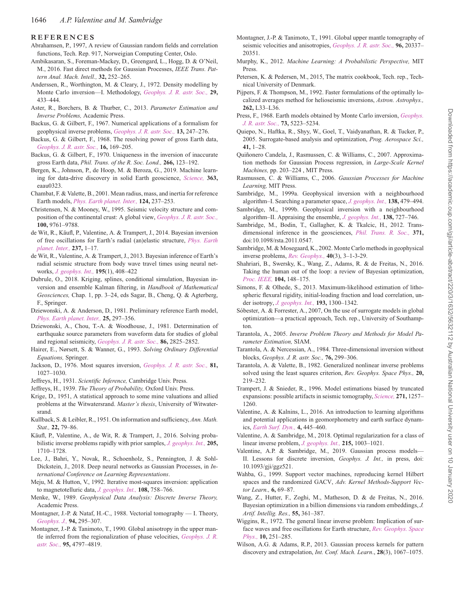#### **REFERENCES**

- <span id="page-14-27"></span>Abrahamsen, P., 1997, A review of Gaussian random fields and correlation functions, Tech. Rep. 917, Norweigian Computing Center, Oslo.
- <span id="page-14-47"></span>Ambikasaran, S., Foreman-Mackey, D., Greengard, L., Hogg, D. & O'Neil, M., 2016. Fast direct methods for Gaussian Processes, *IEEE Trans. Pattern Anal. Mach. Intell.,* **32,** 252–265.
- <span id="page-14-14"></span>Anderssen, R., Worthington, M. & Cleary, J., 1972. Density modelling by Monte Carlo inversion—I. Methodology, *Geophys. J. R. astr. Soc.,* **29,** 433–444.
- <span id="page-14-3"></span>Aster, R., Borchers, B. & Thurber, C., 2013. *Parameter Estimation and Inverse Problems,* Academic Press.
- <span id="page-14-5"></span>Backus, G. & Gilbert, F., 1967. Numerical applications of a formalism for geophysical inverse problems, *[Geophys. J. R. astr. Soc.,](http://dx.doi.org/doi.org/10.1111/j.1365-246X.1967.tb02159.x)* **13,** 247–276.
- <span id="page-14-6"></span>Backus, G. & Gilbert, F., 1968. The resolving power of gross Earth data, *[Geophys. J. R. astr. Soc.,](http://dx.doi.org/doi.org/10.1111/j.1365-246X.1968.tb00216.x)* **16,** 169–205.
- <span id="page-14-7"></span>Backus, G. & Gilbert, F., 1970. Uniqueness in the inversion of inaccurate gross Earth data, *Phil. Trans. of the R. Soc. Lond.,* **266,** 123–192.
- <span id="page-14-21"></span>Bergen, K., Johnson, P., de Hoop, M. & Beroza, G., 2019. Machine learning for data-drive discovery in solid Earth geoscience, *Science,* **363,** eaau0323.
- <span id="page-14-42"></span>Chambat, F. & Valette, B., 2001. Mean radius, mass, and inertia for reference Earth models, *Phys. Earth planet. Inter.,* **124,** 237–253.
- <span id="page-14-43"></span>Christensen, N. & Mooney, W., 1995. Seismic velocity structure and composition of the continental crust: A global view, *[Geophys. J. R. astr. Soc.,](http://dx.doi.org/https://doi.org/10.1029/95JB00259)* **100,** 9761–9788.
- <span id="page-14-50"></span>de Wit, R., Käufl, P., Valentine, A. & Trampert, J., 2014. Bayesian inversion [of free oscillations for Earth's radial \(an\)elastic structure,](http://dx.doi.org/DOI:10.1016/j.pepi.2014.09.004) *Phys. Earth planet. Inter.,* **237,** 1–17.
- <span id="page-14-49"></span>de Wit, R., Valentine, A. & Trampert, J., 2013. Bayesian inference of Earth's radial seismic structure from body wave travel times using neural networks, *[J. geophys. Int.,](http://dx.doi.org/doi.org/10.1093/gji/ggt220)* **195**(1), 408–422
- <span id="page-14-25"></span>Dubrule, O., 2018. Kriging, splines, conditional simulation, Bayesian inversion and ensemble Kalman filtering, in *Handbook of Mathematical Geosciences,* Chap. 1, pp. 3–24, eds Sagar, B., Cheng, Q. & Agterberg, F., Springer.
- <span id="page-14-44"></span>Dziewonski, A. & Anderson, D., 1981. Preliminary reference Earth model, *[Phys. Earth planet. Inter.,](http://dx.doi.org/doi.org/10.1016/0031-9201(81)90046-7)* **25,** 297–356.
- <span id="page-14-1"></span>Dziewonski, A., Chou, T.-A. & Woodhouse, J., 1981. Determination of earthquake source parameters from waveform data for studies of global and regional seismicity, *[Geophys. J. R. astr. Soc.,](http://dx.doi.org/doi.org/10.1029/JB086iB04p02825)* **86,** 2825–2852.
- <span id="page-14-48"></span>Hairer, E., Nørsett, S. & Wanner, G., 1993. *Solving Ordinary Differential Equations,* Springer.
- <span id="page-14-9"></span>Jackson, D., 1976. Most squares inversion, *[Geophys. J. R. astr. Soc.,](http://dx.doi.org/https://doi.org/10.1029/JB081i005p01027)* **81,** 1027–1030.
- <span id="page-14-11"></span>Jeffreys, H., 1931. *Scientific Inference,* Cambridge Univ. Press.
- <span id="page-14-12"></span>Jeffreys, H., 1939. *The Theory of Probability,* Oxford Univ. Press.
- <span id="page-14-24"></span>Krige, D., 1951, A statistical approach to some mine valuations and allied problems at the Witwatersrand. *Master's thesis*, University of Witwatersrand.
- <span id="page-14-34"></span>Kullback, S. & Leibler, R., 1951. On information and sufficiency, *Ann. Math. Stat.,* **22,** 79–86.
- <span id="page-14-41"></span>Käufl, P., Valentine, A., de Wit, R. & Trampert, J., 2016. Solving probabilistic inverse problems rapidly with prior samples, *[J. geophys. Int.,](http://dx.doi.org/doi:10.1214/aoms/1177729694)* **205,** 1710–1728.
- <span id="page-14-52"></span>Lee, J., Bahri, Y., Novak, R., Schoenholz, S., Pennington, J. & Sohl-Dickstein, J., 2018. Deep neural networks as Gaussian Processes, in *International Conference on Learning Representations*.
- <span id="page-14-10"></span>Meju, M. & Hutton, V., 1992. Iterative most-squares inversion: application to magnetotelluric data, *[J. geophys. Int.,](http://dx.doi.org/doi.org/10.1111/j.1365-246X.1992.tb03467.x)* **108,** 758–766.
- <span id="page-14-2"></span>Menke, W., 1989. *Geophysical Data Analysis: Discrete Inverse Theory,* Academic Press.
- <span id="page-14-31"></span>Montagner, J.-P. & Nataf, H.-C., 1988. Vectorial tomography — I. Theory, *[Geophys. J.,](http://dx.doi.org/doi.org/10.1111/j.1365-246X.1988.tb05903.x)* **94,** 295–307.
- <span id="page-14-32"></span>Montagner, J.-P. & Tanimoto, T., 1990. Global anisotropy in the upper man[tle inferred from the regionalization of phase velocities,](http://dx.doi.org/oi.org/10.1029/JB095iB04p04797) *Geophys. J. R. astr. Soc.,* **95,** 4797–4819.
- <span id="page-14-33"></span>Montagner, J.-P. & Tanimoto, T., 1991. Global upper mantle tomography of seismic velocities and anisotropies, *[Geophys. J. R. astr. Soc.,](http://dx.doi.org/doi.org/10.1029/91JB01890)* **96,** 20337– 20351.
- <span id="page-14-23"></span>Murphy, K., 2012. *Machine Learning: A Probabilistic Perspective,* MIT Press.
- <span id="page-14-26"></span>Petersen, K. & Pedersen, M., 2015, The matrix cookbook, Tech. rep., Technical University of Denmark.
- <span id="page-14-8"></span>Pijpers, F. & Thompson, M., 1992. Faster formulations of the optimally localized averages method for helioseismic inversions, *Astron. Astrophys.,* **262,** L33–L36.
- <span id="page-14-13"></span>P[ress, F., 1968. Earth models obtained by Monte Carlo inversion,](http://dx.doi.org/doi.org/10.1029/JB073i016p05223) *Geophys. J. R. astr. Soc.,* **73,** 5223–5234.
- <span id="page-14-36"></span>Quiepo, N., Haftka, R., Shyy, W., Goel, T., Vaidyanathan, R. & Tucker, P., 2005. Surrogate-based analysis and optimization, *Prog. Aerospace Sci.,* **41,** 1–28.
- <span id="page-14-46"></span>Quiñonero Candela, J., Rasmussen, C. & Williams, C., 2007. Approximation methods for Gaussian Process regression, in *Large-Scale Kernel Machines,* pp. 203–224 , MIT Press.
- <span id="page-14-19"></span>Rasmussen, C. & Williams, C., 2006. *Gaussian Processes for Machine Learning,* MIT Press.
- <span id="page-14-39"></span>Sambridge, M., 1999a. Geophysical inversion with a neighbourhood algorithm–I. Searching a parameter space, *[J. geophys. Int.,](http://dx.doi.org/doi.org/10.1046/j.1365-246X.1999.00876.x)* **138,** 479–494.
- <span id="page-14-40"></span>Sambridge, M., 1999b. Geophysical inversion with a neighbourhood algorithm–II. Appraising the ensemble, *[J. geophys. Int.,](http://dx.doi.org/doi.org/10.1046/j.1365-246x.1999.00900.x)* **138,** 727–746.
- <span id="page-14-45"></span>Sambridge, M., Bodin, T., Gallagher, K. & Tkalcic, H., 2012. Transdimensional inference in the geosciences, *[Phil. Trans. R. Soc.,](http://dx.doi.org/doi:10.1098/rsta.2011.0547)* **371,** doi:10.1098/rsta.2011.0547.
- <span id="page-14-15"></span>Sambridge, M. & Mosegaard, K., 2002. Monte Carlo methods in geophysical inverse problems, *[Rev. Geophys.,](http://dx.doi.org/doi.org/10.1029/2000RG000089)* **40**(3), 3–1-3-29.
- <span id="page-14-38"></span>Shahriari, B., Swersky, K., Wang, Z., Adams, R. & de Freitas, N., 2016. Taking the human out of the loop: a review of Bayesian optimization, *[Proc. IEEE,](http://dx.doi.org/doi:10.1109/JPROC.2015.2494218)* **104,** 148–175.
- <span id="page-14-28"></span>Simons, F. & Olhede, S., 2013. Maximum-likelihood estimation of lithospheric flexural rigidity, initial-loading fraction and load correlation, under isotropy, *[J. geophys. Int.,](http://dx.doi.org/doi.org/10.1093/gji/ggt056)* **193,** 1300–1342.
- <span id="page-14-37"></span>Sóbester, A. & Forrester, A., 2007, On the use of surrogate models in global optimization—a practical approach, Tech. rep., University of Southampton.
- <span id="page-14-16"></span>Tarantola, A., 2005. *Inverse Problem Theory and Methods for Model Parameter Estimation,* SIAM.
- <span id="page-14-18"></span>Tarantola, A. & Nercessian, A., 1984. Three-dimensional inversion without blocks, *Geophys. J. R. astr. Soc.,* **76,** 299–306.
- <span id="page-14-17"></span>Tarantola, A. & Valette, B., 1982. Generalized nonlinear inverse problems solved using the least squares criterion, *Rev. Geophys. Space Phys.,* **20,** 219–232.
- <span id="page-14-4"></span>Trampert, J. & Snieder, R., 1996. Model estimations biased by truncated expansions: possible artifacts in seismic tomography, *[Science,](http://dx.doi.org/10.1126/science.271.5253.1257)* **271,** 1257– 1260.
- <span id="page-14-20"></span>Valentine, A. & Kalnins, L., 2016. An introduction to learning algorithms and potential applications in geomorphometry and earth surface dynamics, *[Earth Surf. Dyn.,](http://dx.doi.org/doi.org/10.5194/esurf-4-445-2016)* **4,** 445–460.
- <span id="page-14-29"></span>Valentine, A. & Sambridge, M., 2018. Optimal regularization for a class of linear inverse problem, *J. geophys. Int.,* **215,** 1003–1021.
- <span id="page-14-22"></span>Valentine, A.P. & Sambridge, M., 2019. Gaussian process models— II. Lessons for discrete inversion, *Geophys. J. Int.,* in press, doi: 10.1093/gji/ggz521.
- <span id="page-14-51"></span>Wahba, G., 1999. Support vector machines, reproducing kernel Hilbert spaces and the randomized GACV, *Adv. Kernel Methods-Support Vector Learn.,* **6,** 69–87.
- <span id="page-14-35"></span>Wang, Z., Hutter, F., Zoghi, M., Matheson, D. & de Freitas, N., 2016. Bayesian optimization in a billion dimensions via random embeddings, *J. Artif. Intellig. Res.,* **55,** 361–387.
- <span id="page-14-0"></span>Wiggins, R., 1972. The general linear inverse problem: Implication of sur[face waves and free oscillations for Earth structure,](http://dx.doi.org/doi.org/10.1029/RG010i001p00251) *Rev. Geophys. Space Phys.,* **10,** 251–285.
- <span id="page-14-30"></span>Wilson, A.G. & Adams, R.P., 2013. Gaussian process kernels for pattern discovery and extrapolation, *Int. Conf. Mach. Learn*., **28**(3), 1067–1075.